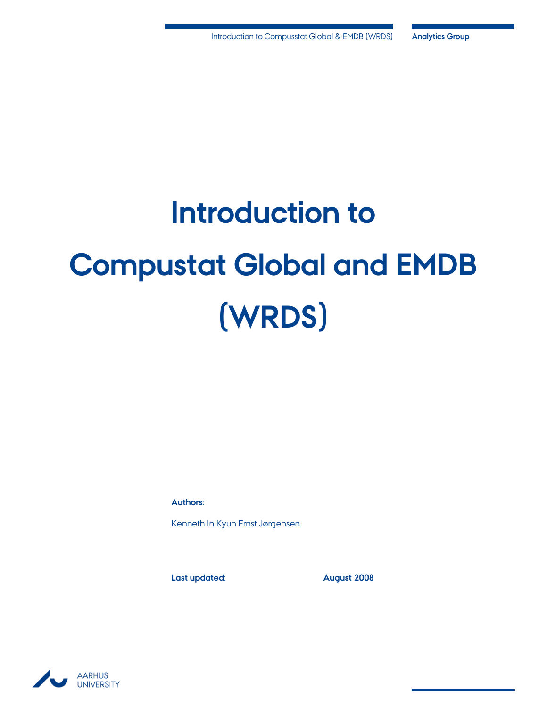# **Introduction to Compustat Global and EMDB (WRDS)**

**Authors:**

Kenneth In Kyun Ernst Jørgensen

**Last updated: August 2008**

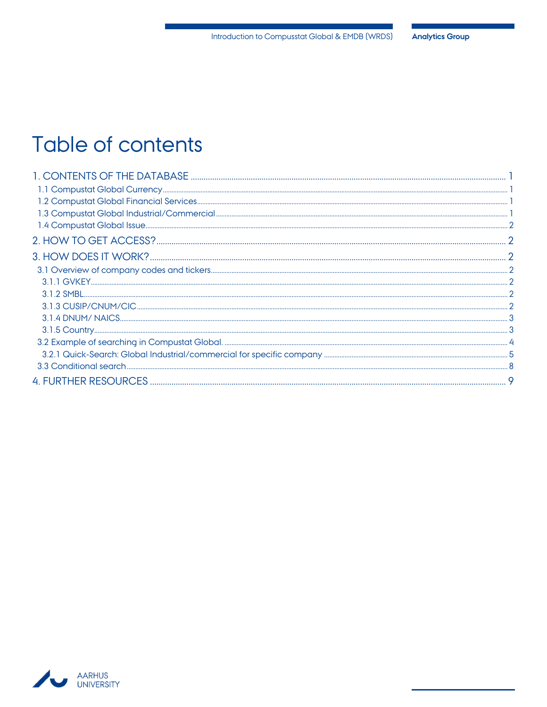## Table of contents

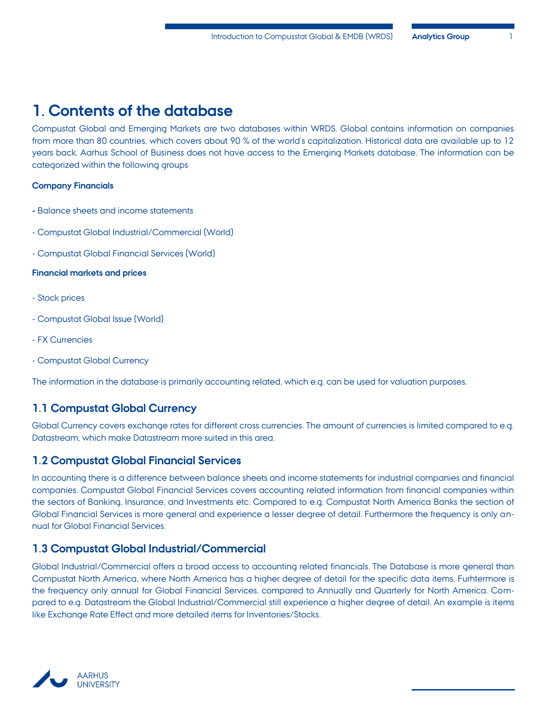## <span id="page-2-0"></span>**1. Contents of the database**

Compustat Global and Emerging Markets are two databases within WRDS. Global contains information on companies from more than 80 countries, which covers about 90 % of the world's capitalization. Historical data are available up to 12 years back. Aarhus School of Business does not have access to the Emerging Markets database. The information can be categorized within the following groups

#### **Company Financials**

- **-** Balance sheets and income statements
- Compustat Global Industrial/Commercial (World)
- Compustat Global Financial Services (World)

#### **Financial markets and prices**

- Stock prices
- Compustat Global Issue (World)
- FX Currencies
- Compustat Global Currency

The information in the database is primarily accounting related, which e.g. can be used for valuation purposes.

#### <span id="page-2-1"></span>**1.1 Compustat Global Currency**

Global Currency covers exchange rates for different cross currencies. The amount of currencies is limited compared to e.g. Datastream, which make Datastream more suited in this area.

#### <span id="page-2-2"></span>**1.2 Compustat Global Financial Services**

In accounting there is a difference between balance sheets and income statements for industrial companies and financial companies. Compustat Global Financial Services covers accounting related information from financial companies within the sectors of Banking, Insurance, and Investments etc. Compared to e.g. Compustat North America Banks the section of Global Financial Services is more general and experience a lesser degree of detail. Furthermore the frequency is only annual for Global Financial Services.

#### <span id="page-2-3"></span>**1.3 Compustat Global Industrial/Commercial**

Global Industrial/Commercial offers a broad access to accounting related financials. The Database is more general than Compustat North America, where North America has a higher degree of detail for the specific data items. Furhtermore is the frequency only annual for Global Financial Services, compared to Annually and Quarterly for North America. Compared to e.g. Datastream the Global Industrial/Commercial still experience a higher degree of detail. An example is items like Exchange Rate Effect and more detailed items for Inventories/Stocks.

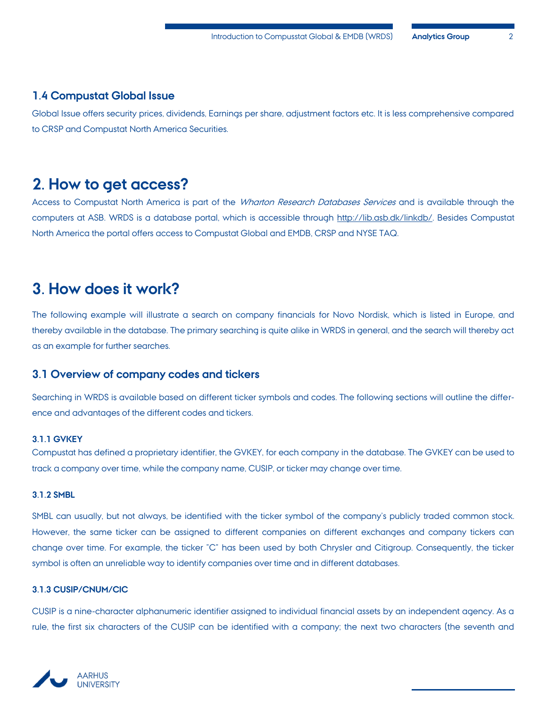#### <span id="page-3-0"></span>**1.4 Compustat Global Issue**

Global Issue offers security prices, dividends, Earnings per share, adjustment factors etc. It is less comprehensive compared to CRSP and Compustat North America Securities.

## <span id="page-3-1"></span>**2. How to get access?**

Access to Compustat North America is part of the Wharton Research Databases Services and is available through the computers at ASB. WRDS is a database portal, which is accessible through [http://lib.asb.dk/linkdb/.](http://lib.asb.dk/linkdb/) Besides Compustat North America the portal offers access to Compustat Global and EMDB, CRSP and NYSE TAQ.

## <span id="page-3-2"></span>**3. How does it work?**

The following example will illustrate a search on company financials for Novo Nordisk, which is listed in Europe, and thereby available in the database. The primary searching is quite alike in WRDS in general, and the search will thereby act as an example for further searches.

#### <span id="page-3-3"></span>**3.1 Overview of company codes and tickers**

Searching in WRDS is available based on different ticker symbols and codes. The following sections will outline the difference and advantages of the different codes and tickers.

#### <span id="page-3-4"></span>**3.1.1 GVKEY**

Compustat has defined a proprietary identifier, the GVKEY, for each company in the database. The GVKEY can be used to track a company over time, while the company name, CUSIP, or ticker may change over time.

#### <span id="page-3-5"></span>**3.1.2 SMBL**

SMBL can usually, but not always, be identified with the ticker symbol of the company's publicly traded common stock. However, the same ticker can be assigned to different companies on different exchanges and company tickers can change over time. For example, the ticker "C" has been used by both Chrysler and Citigroup. Consequently, the ticker symbol is often an unreliable way to identify companies over time and in different databases.

#### <span id="page-3-6"></span>**3.1.3 CUSIP/CNUM/CIC**

CUSIP is a nine-character alphanumeric identifier assigned to individual financial assets by an independent agency. As a rule, the first six characters of the CUSIP can be identified with a company; the next two characters (the seventh and

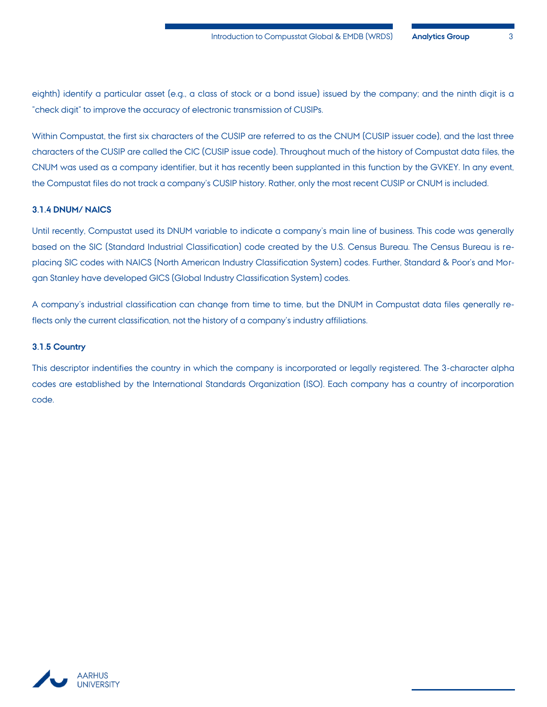eighth) identify a particular asset (e.g., a class of stock or a bond issue) issued by the company; and the ninth digit is a "check digit" to improve the accuracy of electronic transmission of CUSIPs.

Within Compustat, the first six characters of the CUSIP are referred to as the CNUM (CUSIP issuer code), and the last three characters of the CUSIP are called the CIC (CUSIP issue code). Throughout much of the history of Compustat data files, the CNUM was used as a company identifier, but it has recently been supplanted in this function by the GVKEY. In any event, the Compustat files do not track a company's CUSIP history. Rather, only the most recent CUSIP or CNUM is included.

#### <span id="page-4-0"></span>**3.1.4 DNUM/ NAICS**

Until recently, Compustat used its DNUM variable to indicate a company's main line of business. This code was generally based on the SIC (Standard Industrial Classification) code created by the U.S. Census Bureau. The Census Bureau is replacing SIC codes with NAICS (North American Industry Classification System) codes. Further, Standard & Poor's and Morgan Stanley have developed GICS (Global Industry Classification System) codes.

A company's industrial classification can change from time to time, but the DNUM in Compustat data files generally reflects only the current classification, not the history of a company's industry affiliations.

#### <span id="page-4-1"></span>**3.1.5 Country**

This descriptor indentifies the country in which the company is incorporated or legally registered. The 3-character alpha codes are established by the International Standards Organization (ISO). Each company has a country of incorporation code.

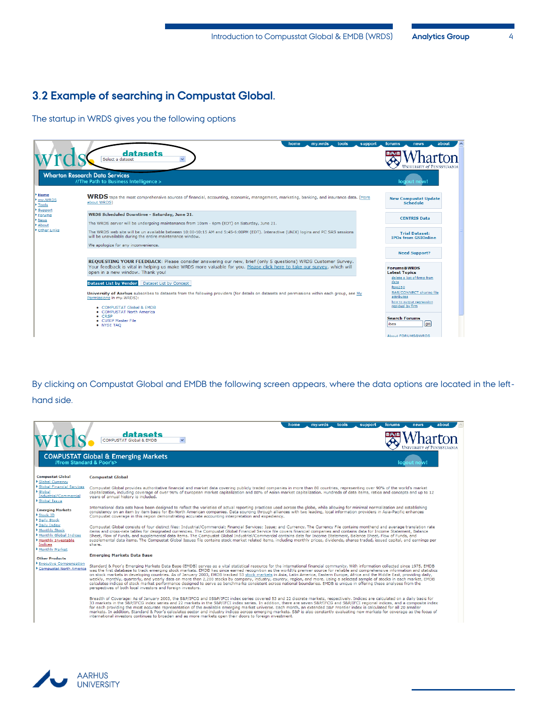### <span id="page-5-0"></span>**3.2 Example of searching in Compustat Global.**

The startup in WRDS gives you the following options

|                                     | tools<br>home<br>my.wrds<br>support<br>datasets<br>Select a dataset<br>$\checkmark$                                                                                                                                                                                                                                                                                                                                                                                                                                                                                                                                 | forums<br>about<br>news<br><b>UNIVERSITY of PENNSYLVANIA</b>                                                                                                                                                   |
|-------------------------------------|---------------------------------------------------------------------------------------------------------------------------------------------------------------------------------------------------------------------------------------------------------------------------------------------------------------------------------------------------------------------------------------------------------------------------------------------------------------------------------------------------------------------------------------------------------------------------------------------------------------------|----------------------------------------------------------------------------------------------------------------------------------------------------------------------------------------------------------------|
|                                     | <b>Wharton Research Data Services</b><br>//The Path to Business Intelligence >                                                                                                                                                                                                                                                                                                                                                                                                                                                                                                                                      | logout now!                                                                                                                                                                                                    |
| Home<br>my.WRDS<br>Tools<br>Support | WRDS taps the most comprehensive sources of financial, accounting, economic, management, marketing, banking, and insurance data. (More<br>about WRDS)                                                                                                                                                                                                                                                                                                                                                                                                                                                               | <b>New Compustat Update</b><br><b>Schedule</b>                                                                                                                                                                 |
| Forums<br>News<br>About             | WRDS Scheduled Downtime - Saturday, June 21.<br>The WRDS server will be undergoing maintenance from 10am - 6pm (EDT) on Saturday, June 21.                                                                                                                                                                                                                                                                                                                                                                                                                                                                          | <b>CENTRIS Data</b>                                                                                                                                                                                            |
| Other Links                         | The WRDS web site will be un available between 10:00-10:15 AM and 5:45-6:00PM (EDT). Interactive (UNIX) logins and PC SAS sessions<br>will be unavailable during the entire maintenance window.<br>We apologize for any inconvenience.                                                                                                                                                                                                                                                                                                                                                                              | <b>Trial Dataset:</b><br><b>IPOs from GSIOnline</b>                                                                                                                                                            |
|                                     |                                                                                                                                                                                                                                                                                                                                                                                                                                                                                                                                                                                                                     | <b>Need Support?</b>                                                                                                                                                                                           |
|                                     | REQUESTING YOUR FEEDBACK: Please consider answering our new, brief (only 5 questions) WRDS Customer Survey.<br>Your feedback is vital in helping us make WRDS more valuable for you. Please click here to take our survey, which will<br>open in a new window. Thank you!<br><b>Dataset List by Vendor</b><br>Dataset List by Concept<br>University of Aarhus subscribes to datasets from the following providers (for details on datasets and permissions within each group, see My<br>Permissions in my.WRDS):<br>• COMPUSTAT Global & EMDB<br>• COMPUSTAT North America<br>$\bullet$ CRSP<br>• CUSIP Master File | <b>Forums@WRDS</b><br><b>Latest Topics</b><br>delete a list of firms from<br>data<br>ftse250<br>SAS/CONNECT sharing file<br>attributes<br>how to output regression<br>residual by firm<br><b>Search Forums</b> |
|                                     | • NYSE TAO                                                                                                                                                                                                                                                                                                                                                                                                                                                                                                                                                                                                          | go<br>ibes<br>About FORUMS@WRDS                                                                                                                                                                                |

By clicking on Compustat Global and EMDB the following screen appears, where the data options are located in the lefthand side.



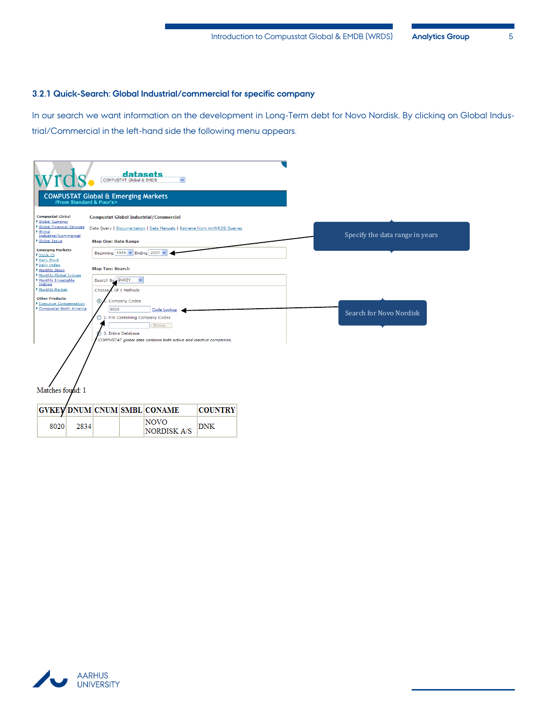#### <span id="page-6-0"></span>**3.2.1 Quick-Search: Global Industrial/commercial for specific company**

In our search we want information on the development in Long-Term debt for Novo Nordisk. By clicking on Global Industrial/Commercial in the left-hand side the following menu appears.

|                                                                       | <b>COMPUSTAT Global &amp; EMDB</b>             | datasets<br>$\checkmark$                                                     |                |  |                                 |
|-----------------------------------------------------------------------|------------------------------------------------|------------------------------------------------------------------------------|----------------|--|---------------------------------|
| //from Standard & Poor's>                                             | <b>COMPUSTAT Global &amp; Emerging Markets</b> |                                                                              |                |  |                                 |
| <b>Compustat Global</b><br><b>Global Currency</b>                     | <b>Compustat Global Industrial/Commercial</b>  |                                                                              |                |  |                                 |
| <b>Global Financial Services</b><br>Global                            |                                                | Data Query   Documentation   Data Manuals   Retrieve from myWRDS Queries     |                |  |                                 |
| Industrial/Commercial<br>Global Issue                                 | <b>Step One: Date Range</b>                    |                                                                              |                |  | Specify the data range in years |
| <b>Emerging Markets</b><br>Stock ID                                   | Beginning 1989 $\vee$ Ending 2007 $\vee$       |                                                                              |                |  |                                 |
| Daily Stock<br>Daily Index<br>Monthly Stock<br>Monthly Global Indices | <b>Step Two: Search</b>                        |                                                                              |                |  |                                 |
| Monthly Investable<br>Indices                                         | Search By GVKEY                                | $\checkmark$                                                                 |                |  |                                 |
| Monthly Market<br><b>Other Products</b>                               | LOf 3 Methods<br>Choose,                       |                                                                              |                |  |                                 |
| Executive Compensation<br>Compustat North America                     | <b>Company Codes</b><br>$\odot$<br>8020        | Code Lookup                                                                  |                |  |                                 |
|                                                                       | ◯ 2. File Containing Company Codes             |                                                                              |                |  | Search for Novo Nordisk         |
|                                                                       | 3. Entire Database                             | Browse<br>COMPUSTAT global data contains both active and inactive companies. |                |  |                                 |
|                                                                       |                                                |                                                                              |                |  |                                 |
| Matches found: 1                                                      |                                                |                                                                              |                |  |                                 |
| <b>GVKEY DNUM CNUM SMBL CONAME</b>                                    |                                                |                                                                              | <b>COUNTRY</b> |  |                                 |
| 2834<br>8020                                                          |                                                | <b>NOVO</b><br><b>NORDISK A/S</b>                                            | <b>DNK</b>     |  |                                 |

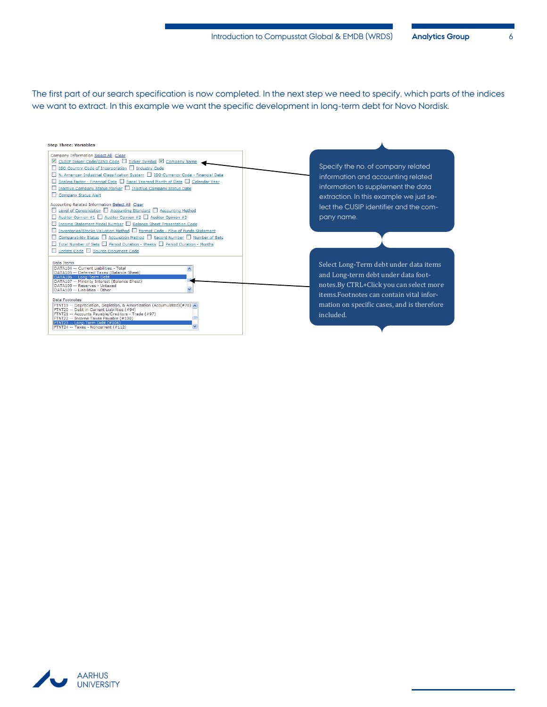The first part of our search specification is now completed. In the next step we need to specify, which parts of the indices we want to extract. In this example we want the specific development in long-term debt for Novo Nordisk.



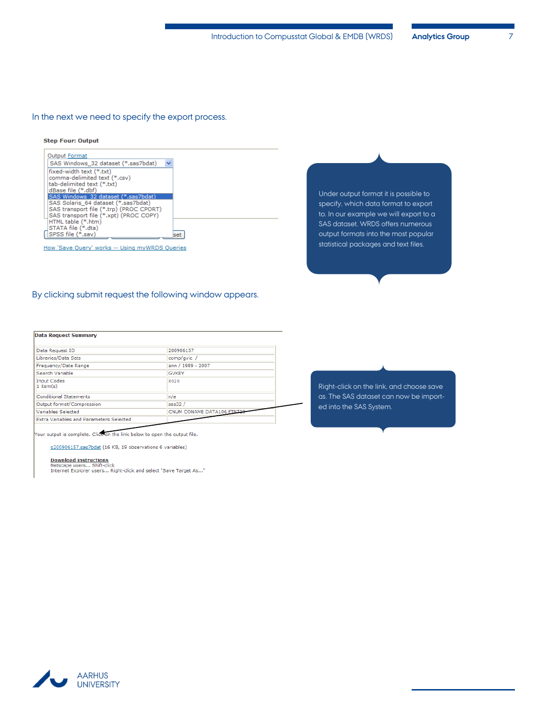#### In the next we need to specify the export process.

#### **Step Four: Output**

| $\ddotmark$<br>SAS Windows 32 dataset (*.sas7bdat)<br>fixed-width text (*.txt)<br>comma-delimited text (*.csv)<br>tab-delimited text (*.txt)<br>dBase file (*.dbf)<br>SAS Windows 32 dataset (*.sas7bdat)<br>SAS Solaris 64 dataset (*.sas7bdat)<br>SAS transport file (*.trp) (PROC CPORT)<br>SAS transport file (*.xpt) (PROC COPY)<br>HTML table (*.htm)<br>STATA file (*.dta)<br>SPSS file (*.sav)<br>set | <b>Output Format</b> |  |
|---------------------------------------------------------------------------------------------------------------------------------------------------------------------------------------------------------------------------------------------------------------------------------------------------------------------------------------------------------------------------------------------------------------|----------------------|--|
|                                                                                                                                                                                                                                                                                                                                                                                                               |                      |  |
|                                                                                                                                                                                                                                                                                                                                                                                                               |                      |  |
|                                                                                                                                                                                                                                                                                                                                                                                                               |                      |  |
|                                                                                                                                                                                                                                                                                                                                                                                                               |                      |  |
|                                                                                                                                                                                                                                                                                                                                                                                                               |                      |  |
|                                                                                                                                                                                                                                                                                                                                                                                                               |                      |  |
|                                                                                                                                                                                                                                                                                                                                                                                                               |                      |  |
|                                                                                                                                                                                                                                                                                                                                                                                                               |                      |  |
|                                                                                                                                                                                                                                                                                                                                                                                                               |                      |  |
|                                                                                                                                                                                                                                                                                                                                                                                                               |                      |  |
|                                                                                                                                                                                                                                                                                                                                                                                                               |                      |  |

How 'Save Query' works -- Using myWRDS Queries

Under output format it is possible to specify, which data format to export to. In our example we will export to a SAS dataset. WRDS offers numerous output formats into the most popular statistical packages and text files.

#### By clicking submit request the following window appears.

#### **Data Request Summary**

| Data Request ID                                | 200906157                 |
|------------------------------------------------|---------------------------|
| Libraries/Data Sets                            | comp/qvic /               |
| Frequency/Date Range                           | ann / 1989 - 2007         |
| Search Variable                                | <b>GVKEY</b>              |
| <b>Input Codes</b><br>$1$ item(s)              | 8020                      |
| Conditional Statements                         | In/a                      |
| Output format/Compression                      | $s$ as32 /                |
| Variables Selected                             | CNUM CONAME DATA106 FINT2 |
| <b>Extra Variables and Parameters Selected</b> |                           |

Your output is complete. Click on the link below to open the output file.

g200906157.sas7bdat (16 KB, 19 observations 6 variables)

Download instructions<br>Netscape users... Shift-click<br>Internet Explorer users... Right-click and select "Save Target As..."

Right-click on the link, and choose save as. The SAS dataset can now be imported into the SAS System.

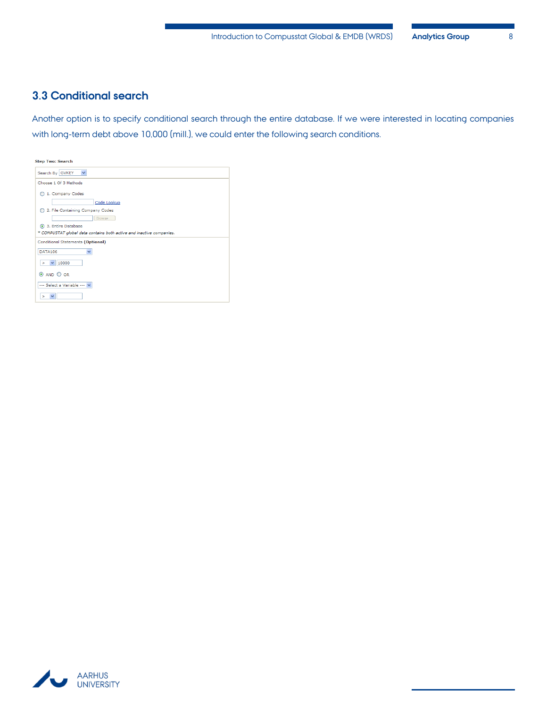### <span id="page-9-0"></span>**3.3 Conditional search**

Another option is to specify conditional search through the entire database. If we were interested in locating companies with long-term debt above 10,000 (mill.), we could enter the following search conditions.

| <b>Step Two: Search</b>                                              |
|----------------------------------------------------------------------|
| Search By GVKEY<br>$\checkmark$                                      |
| Choose 1 Of 3 Methods                                                |
| 1. Company Codes                                                     |
| Code Lookup                                                          |
| 2. File Containing Company Codes                                     |
| Browse                                                               |
| 3. Entire Database                                                   |
| * COMPUSTAT global data contains both active and inactive companies. |
| Conditional Statements (Optional)                                    |
| <b>DATA106</b><br>$\checkmark$                                       |
| 10000<br>×.<br>$\checkmark$                                          |
| ⊙ AND ○ OR                                                           |
| --- Select a Variable --- V                                          |
| ×                                                                    |

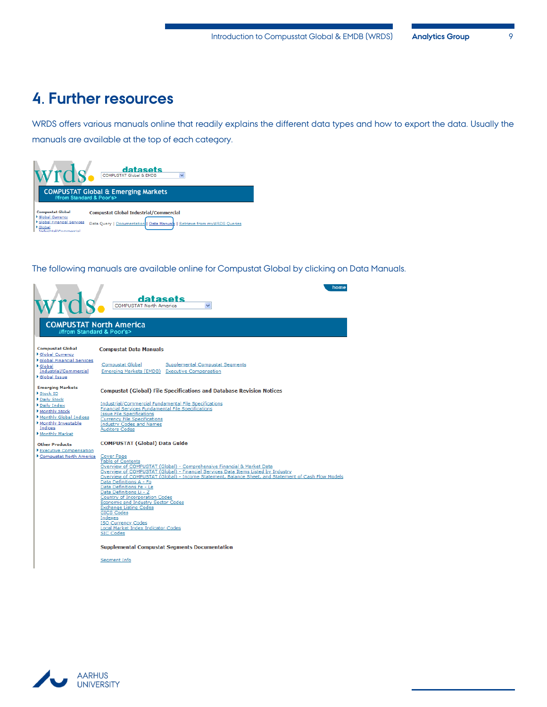## <span id="page-10-0"></span>**4. Further resources**

WRDS offers various manuals online that readily explains the different data types and how to export the data. Usually the manuals are available at the top of each category.



The following manuals are available online for Compustat Global by clicking on Data Manuals.